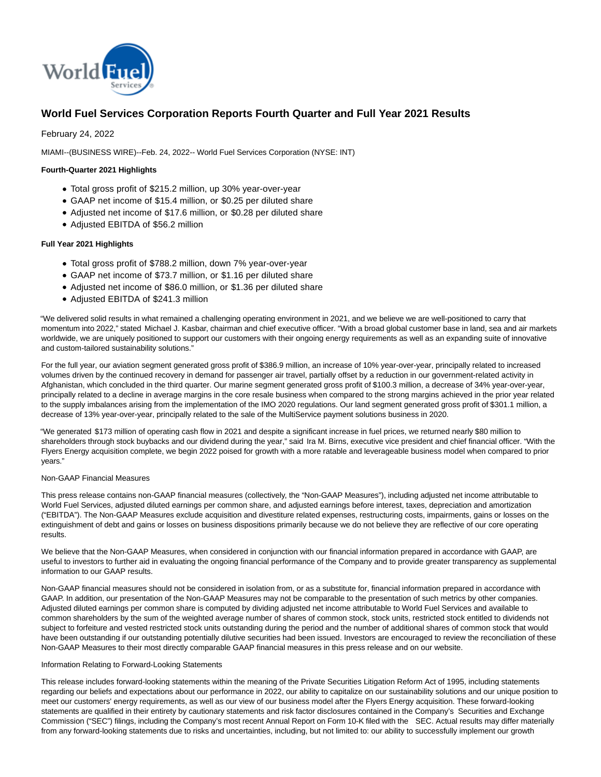

# **World Fuel Services Corporation Reports Fourth Quarter and Full Year 2021 Results**

February 24, 2022

MIAMI--(BUSINESS WIRE)--Feb. 24, 2022-- World Fuel Services Corporation (NYSE: INT)

#### **Fourth-Quarter 2021 Highlights**

- Total gross profit of \$215.2 million, up 30% year-over-year
- GAAP net income of \$15.4 million, or \$0.25 per diluted share
- Adjusted net income of \$17.6 million, or \$0.28 per diluted share
- Adjusted EBITDA of \$56.2 million

#### **Full Year 2021 Highlights**

- Total gross profit of \$788.2 million, down 7% year-over-year
- GAAP net income of \$73.7 million, or \$1.16 per diluted share
- Adjusted net income of \$86.0 million, or \$1.36 per diluted share
- Adjusted EBITDA of \$241.3 million

"We delivered solid results in what remained a challenging operating environment in 2021, and we believe we are well-positioned to carry that momentum into 2022," stated Michael J. Kasbar, chairman and chief executive officer. "With a broad global customer base in land, sea and air markets worldwide, we are uniquely positioned to support our customers with their ongoing energy requirements as well as an expanding suite of innovative and custom-tailored sustainability solutions."

For the full year, our aviation segment generated gross profit of \$386.9 million, an increase of 10% year-over-year, principally related to increased volumes driven by the continued recovery in demand for passenger air travel, partially offset by a reduction in our government-related activity in Afghanistan, which concluded in the third quarter. Our marine segment generated gross profit of \$100.3 million, a decrease of 34% year-over-year, principally related to a decline in average margins in the core resale business when compared to the strong margins achieved in the prior year related to the supply imbalances arising from the implementation of the IMO 2020 regulations. Our land segment generated gross profit of \$301.1 million, a decrease of 13% year-over-year, principally related to the sale of the MultiService payment solutions business in 2020.

"We generated \$173 million of operating cash flow in 2021 and despite a significant increase in fuel prices, we returned nearly \$80 million to shareholders through stock buybacks and our dividend during the year," said Ira M. Birns, executive vice president and chief financial officer. "With the Flyers Energy acquisition complete, we begin 2022 poised for growth with a more ratable and leverageable business model when compared to prior years."

#### Non-GAAP Financial Measures

This press release contains non-GAAP financial measures (collectively, the "Non-GAAP Measures"), including adjusted net income attributable to World Fuel Services, adjusted diluted earnings per common share, and adjusted earnings before interest, taxes, depreciation and amortization ("EBITDA"). The Non-GAAP Measures exclude acquisition and divestiture related expenses, restructuring costs, impairments, gains or losses on the extinguishment of debt and gains or losses on business dispositions primarily because we do not believe they are reflective of our core operating results.

We believe that the Non-GAAP Measures, when considered in conjunction with our financial information prepared in accordance with GAAP, are useful to investors to further aid in evaluating the ongoing financial performance of the Company and to provide greater transparency as supplemental information to our GAAP results.

Non-GAAP financial measures should not be considered in isolation from, or as a substitute for, financial information prepared in accordance with GAAP. In addition, our presentation of the Non-GAAP Measures may not be comparable to the presentation of such metrics by other companies. Adjusted diluted earnings per common share is computed by dividing adjusted net income attributable to World Fuel Services and available to common shareholders by the sum of the weighted average number of shares of common stock, stock units, restricted stock entitled to dividends not subject to forfeiture and vested restricted stock units outstanding during the period and the number of additional shares of common stock that would have been outstanding if our outstanding potentially dilutive securities had been issued. Investors are encouraged to review the reconciliation of these Non-GAAP Measures to their most directly comparable GAAP financial measures in this press release and on our website.

#### Information Relating to Forward-Looking Statements

This release includes forward-looking statements within the meaning of the Private Securities Litigation Reform Act of 1995, including statements regarding our beliefs and expectations about our performance in 2022, our ability to capitalize on our sustainability solutions and our unique position to meet our customers' energy requirements, as well as our view of our business model after the Flyers Energy acquisition. These forward-looking statements are qualified in their entirety by cautionary statements and risk factor disclosures contained in the Company's Securities and Exchange Commission ("SEC") filings, including the Company's most recent Annual Report on Form 10-K filed with the SEC. Actual results may differ materially from any forward-looking statements due to risks and uncertainties, including, but not limited to: our ability to successfully implement our growth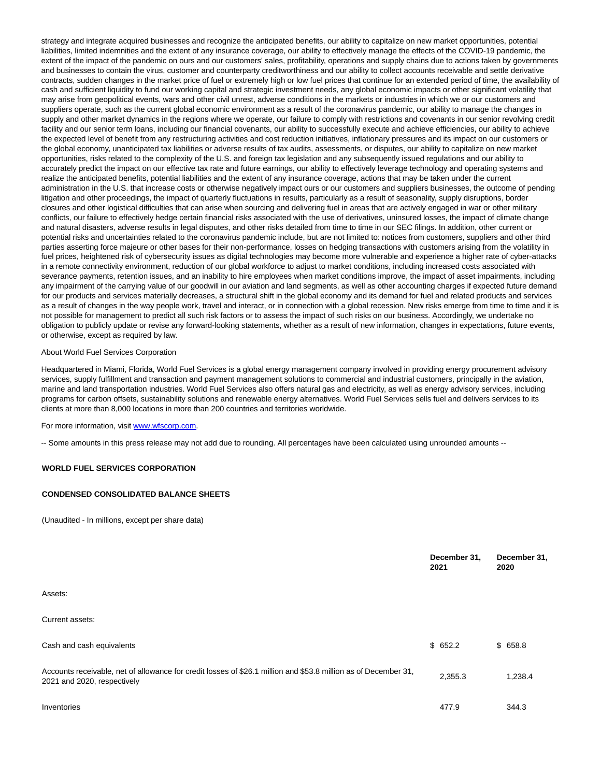strategy and integrate acquired businesses and recognize the anticipated benefits, our ability to capitalize on new market opportunities, potential liabilities, limited indemnities and the extent of any insurance coverage, our ability to effectively manage the effects of the COVID-19 pandemic, the extent of the impact of the pandemic on ours and our customers' sales, profitability, operations and supply chains due to actions taken by governments and businesses to contain the virus, customer and counterparty creditworthiness and our ability to collect accounts receivable and settle derivative contracts, sudden changes in the market price of fuel or extremely high or low fuel prices that continue for an extended period of time, the availability of cash and sufficient liquidity to fund our working capital and strategic investment needs, any global economic impacts or other significant volatility that may arise from geopolitical events, wars and other civil unrest, adverse conditions in the markets or industries in which we or our customers and suppliers operate, such as the current global economic environment as a result of the coronavirus pandemic, our ability to manage the changes in supply and other market dynamics in the regions where we operate, our failure to comply with restrictions and covenants in our senior revolving credit facility and our senior term loans, including our financial covenants, our ability to successfully execute and achieve efficiencies, our ability to achieve the expected level of benefit from any restructuring activities and cost reduction initiatives, inflationary pressures and its impact on our customers or the global economy, unanticipated tax liabilities or adverse results of tax audits, assessments, or disputes, our ability to capitalize on new market opportunities, risks related to the complexity of the U.S. and foreign tax legislation and any subsequently issued regulations and our ability to accurately predict the impact on our effective tax rate and future earnings, our ability to effectively leverage technology and operating systems and realize the anticipated benefits, potential liabilities and the extent of any insurance coverage, actions that may be taken under the current administration in the U.S. that increase costs or otherwise negatively impact ours or our customers and suppliers businesses, the outcome of pending litigation and other proceedings, the impact of quarterly fluctuations in results, particularly as a result of seasonality, supply disruptions, border closures and other logistical difficulties that can arise when sourcing and delivering fuel in areas that are actively engaged in war or other military conflicts, our failure to effectively hedge certain financial risks associated with the use of derivatives, uninsured losses, the impact of climate change and natural disasters, adverse results in legal disputes, and other risks detailed from time to time in our SEC filings. In addition, other current or potential risks and uncertainties related to the coronavirus pandemic include, but are not limited to: notices from customers, suppliers and other third parties asserting force majeure or other bases for their non-performance, losses on hedging transactions with customers arising from the volatility in fuel prices, heightened risk of cybersecurity issues as digital technologies may become more vulnerable and experience a higher rate of cyber-attacks in a remote connectivity environment, reduction of our global workforce to adjust to market conditions, including increased costs associated with severance payments, retention issues, and an inability to hire employees when market conditions improve, the impact of asset impairments, including any impairment of the carrying value of our goodwill in our aviation and land segments, as well as other accounting charges if expected future demand for our products and services materially decreases, a structural shift in the global economy and its demand for fuel and related products and services as a result of changes in the way people work, travel and interact, or in connection with a global recession. New risks emerge from time to time and it is not possible for management to predict all such risk factors or to assess the impact of such risks on our business. Accordingly, we undertake no obligation to publicly update or revise any forward-looking statements, whether as a result of new information, changes in expectations, future events, or otherwise, except as required by law.

#### About World Fuel Services Corporation

Headquartered in Miami, Florida, World Fuel Services is a global energy management company involved in providing energy procurement advisory services, supply fulfillment and transaction and payment management solutions to commercial and industrial customers, principally in the aviation, marine and land transportation industries. World Fuel Services also offers natural gas and electricity, as well as energy advisory services, including programs for carbon offsets, sustainability solutions and renewable energy alternatives. World Fuel Services sells fuel and delivers services to its clients at more than 8,000 locations in more than 200 countries and territories worldwide.

#### For more information, visit [www.wfscorp.com.](https://cts.businesswire.com/ct/CT?id=smartlink&url=http%3A%2F%2Fwww.wfscorp.com&esheet=52585479&newsitemid=20220224006009&lan=en-US&anchor=www.wfscorp.com&index=1&md5=ee1ce7060b991cd94da862c2b494dfb5)

-- Some amounts in this press release may not add due to rounding. All percentages have been calculated using unrounded amounts --

#### **WORLD FUEL SERVICES CORPORATION**

#### **CONDENSED CONSOLIDATED BALANCE SHEETS**

(Unaudited - In millions, except per share data)

|                                                                                                                                                | December 31,<br>2021 | December 31,<br>2020 |
|------------------------------------------------------------------------------------------------------------------------------------------------|----------------------|----------------------|
| Assets:                                                                                                                                        |                      |                      |
| Current assets:                                                                                                                                |                      |                      |
| Cash and cash equivalents                                                                                                                      | \$652.2              | \$658.8              |
| Accounts receivable, net of allowance for credit losses of \$26.1 million and \$53.8 million as of December 31,<br>2021 and 2020, respectively | 2,355.3              | 1,238.4              |
| Inventories                                                                                                                                    | 477.9                | 344.3                |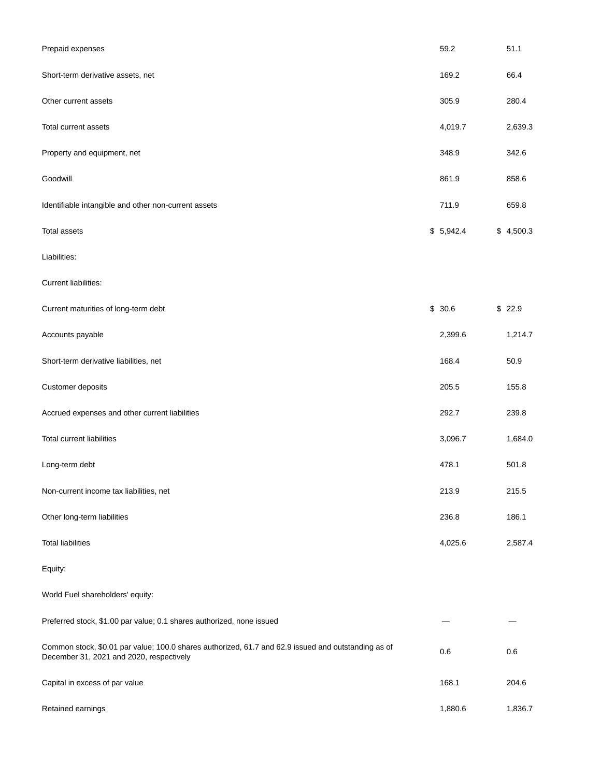| Prepaid expenses                                                                                                                                | 59.2      | 51.1      |
|-------------------------------------------------------------------------------------------------------------------------------------------------|-----------|-----------|
| Short-term derivative assets, net                                                                                                               | 169.2     | 66.4      |
| Other current assets                                                                                                                            | 305.9     | 280.4     |
| Total current assets                                                                                                                            | 4,019.7   | 2,639.3   |
| Property and equipment, net                                                                                                                     | 348.9     | 342.6     |
| Goodwill                                                                                                                                        | 861.9     | 858.6     |
| Identifiable intangible and other non-current assets                                                                                            | 711.9     | 659.8     |
| <b>Total assets</b>                                                                                                                             | \$5,942.4 | \$4,500.3 |
| Liabilities:                                                                                                                                    |           |           |
| Current liabilities:                                                                                                                            |           |           |
| Current maturities of long-term debt                                                                                                            | \$30.6    | \$22.9    |
| Accounts payable                                                                                                                                | 2,399.6   | 1,214.7   |
| Short-term derivative liabilities, net                                                                                                          | 168.4     | 50.9      |
| Customer deposits                                                                                                                               | 205.5     | 155.8     |
| Accrued expenses and other current liabilities                                                                                                  | 292.7     | 239.8     |
| <b>Total current liabilities</b>                                                                                                                | 3,096.7   | 1,684.0   |
| Long-term debt                                                                                                                                  | 478.1     | 501.8     |
| Non-current income tax liabilities, net                                                                                                         | 213.9     | 215.5     |
| Other long-term liabilities                                                                                                                     | 236.8     | 186.1     |
| <b>Total liabilities</b>                                                                                                                        | 4,025.6   | 2,587.4   |
| Equity:                                                                                                                                         |           |           |
| World Fuel shareholders' equity:                                                                                                                |           |           |
| Preferred stock, \$1.00 par value; 0.1 shares authorized, none issued                                                                           |           |           |
| Common stock, \$0.01 par value; 100.0 shares authorized, 61.7 and 62.9 issued and outstanding as of<br>December 31, 2021 and 2020, respectively | 0.6       | 0.6       |
| Capital in excess of par value                                                                                                                  | 168.1     | 204.6     |
| Retained earnings                                                                                                                               | 1,880.6   | 1,836.7   |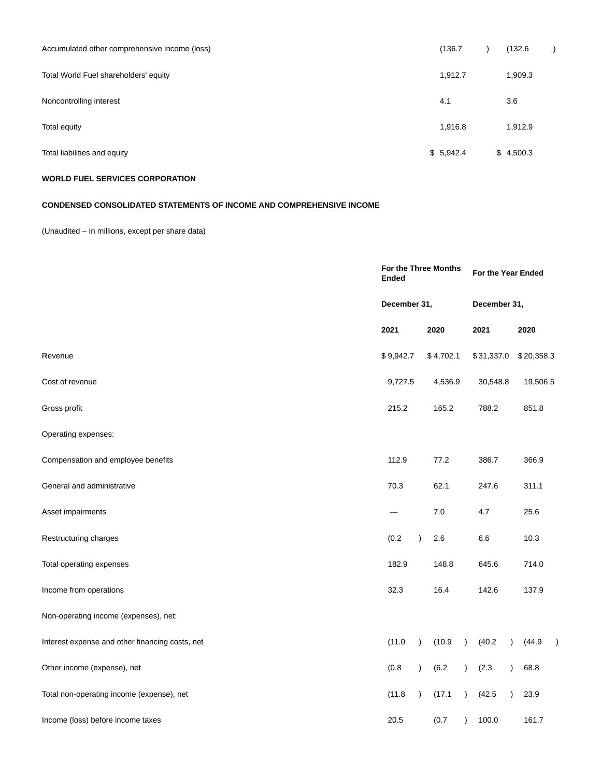| Accumulated other comprehensive income (loss) | (136.7)   | (132.6)   |  |
|-----------------------------------------------|-----------|-----------|--|
| Total World Fuel shareholders' equity         | 1,912.7   | 1,909.3   |  |
| Noncontrolling interest                       | 4.1       | 3.6       |  |
| Total equity                                  | 1,916.8   | 1,912.9   |  |
| Total liabilities and equity                  | \$5,942.4 | \$4,500.3 |  |

## **WORLD FUEL SERVICES CORPORATION**

## **CONDENSED CONSOLIDATED STATEMENTS OF INCOME AND COMPREHENSIVE INCOME**

(Unaudited – In millions, except per share data)

|                                                 | For the Three Months<br><b>Ended</b> |           |           |           | For the Year Ended |           |            |           |  |
|-------------------------------------------------|--------------------------------------|-----------|-----------|-----------|--------------------|-----------|------------|-----------|--|
|                                                 | December 31,                         |           |           |           | December 31,       |           |            |           |  |
|                                                 | 2021                                 |           | 2020      |           | 2021               |           | 2020       |           |  |
| Revenue                                         | \$9,942.7                            |           | \$4,702.1 |           | \$31,337.0         |           | \$20,358.3 |           |  |
| Cost of revenue                                 | 9,727.5                              |           | 4,536.9   |           | 30,548.8           |           | 19,506.5   |           |  |
| Gross profit                                    | 215.2                                |           | 165.2     |           | 788.2              |           | 851.8      |           |  |
| Operating expenses:                             |                                      |           |           |           |                    |           |            |           |  |
| Compensation and employee benefits              | 112.9                                |           | 77.2      |           | 386.7              |           | 366.9      |           |  |
| General and administrative                      | 70.3                                 |           | 62.1      |           | 247.6              |           | 311.1      |           |  |
| Asset impairments                               |                                      |           | 7.0       |           | 4.7                |           | 25.6       |           |  |
| Restructuring charges                           | (0.2)                                | $\lambda$ | 2.6       |           | 6.6                |           | 10.3       |           |  |
| Total operating expenses                        | 182.9                                |           | 148.8     |           | 645.6              |           | 714.0      |           |  |
| Income from operations                          | 32.3                                 |           | 16.4      |           | 142.6              |           | 137.9      |           |  |
| Non-operating income (expenses), net:           |                                      |           |           |           |                    |           |            |           |  |
| Interest expense and other financing costs, net | (11.0)                               | $\lambda$ | (10.9)    | $\lambda$ | (40.2)             |           | (44.9)     | $\lambda$ |  |
| Other income (expense), net                     | (0.8)                                | $\lambda$ | (6.2)     | $\lambda$ | (2.3)              |           | 68.8       |           |  |
| Total non-operating income (expense), net       | (11.8)                               | $\lambda$ | (17.1)    | $\lambda$ | (42.5)             | $\lambda$ | 23.9       |           |  |
| Income (loss) before income taxes               | 20.5                                 |           | (0.7)     | $\lambda$ | 100.0              |           | 161.7      |           |  |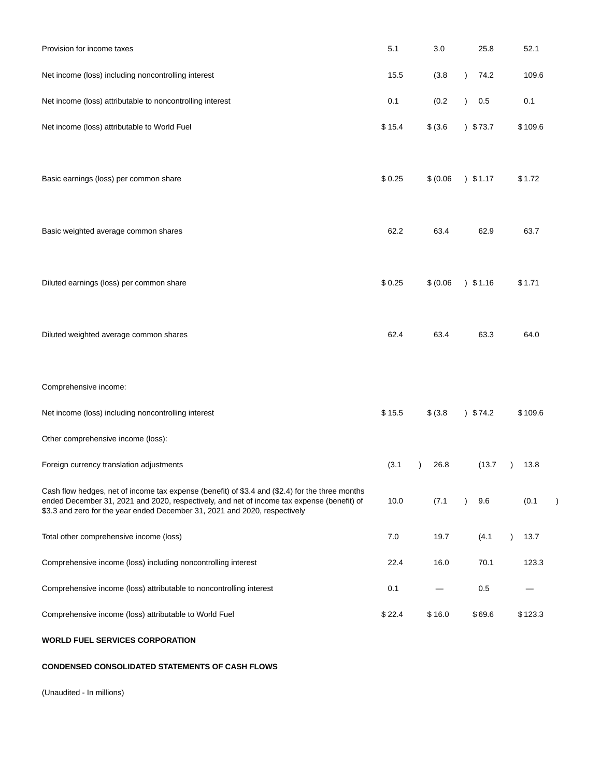| Provision for income taxes                                                                                                                                                                                                                                                  | 5.1    | 3.0       | 25.8              | 52.1    |  |
|-----------------------------------------------------------------------------------------------------------------------------------------------------------------------------------------------------------------------------------------------------------------------------|--------|-----------|-------------------|---------|--|
| Net income (loss) including noncontrolling interest                                                                                                                                                                                                                         | 15.5   | (3.8)     | $\lambda$<br>74.2 | 109.6   |  |
| Net income (loss) attributable to noncontrolling interest                                                                                                                                                                                                                   | 0.1    | (0.2)     | $\lambda$<br>0.5  | 0.1     |  |
| Net income (loss) attributable to World Fuel                                                                                                                                                                                                                                | \$15.4 | \$ (3.6)  | 373.7             | \$109.6 |  |
| Basic earnings (loss) per common share                                                                                                                                                                                                                                      | \$0.25 | \$ (0.06) | $)$ \$1.17        | \$1.72  |  |
|                                                                                                                                                                                                                                                                             | 62.2   | 63.4      | 62.9              | 63.7    |  |
| Basic weighted average common shares                                                                                                                                                                                                                                        |        |           |                   |         |  |
| Diluted earnings (loss) per common share                                                                                                                                                                                                                                    | \$0.25 | \$ (0.06) | $)$ \$1.16        | \$1.71  |  |
| Diluted weighted average common shares                                                                                                                                                                                                                                      | 62.4   | 63.4      | 63.3              | 64.0    |  |
| Comprehensive income:                                                                                                                                                                                                                                                       |        |           |                   |         |  |
| Net income (loss) including noncontrolling interest                                                                                                                                                                                                                         | \$15.5 | \$ (3.8)  | 374.2             | \$109.6 |  |
| Other comprehensive income (loss):                                                                                                                                                                                                                                          |        |           |                   |         |  |
| Foreign currency translation adjustments                                                                                                                                                                                                                                    | (3.1)  | 26.8      | (13.7)            | 13.8    |  |
| Cash flow hedges, net of income tax expense (benefit) of \$3.4 and (\$2.4) for the three months<br>ended December 31, 2021 and 2020, respectively, and net of income tax expense (benefit) of<br>\$3.3 and zero for the year ended December 31, 2021 and 2020, respectively | 10.0   | (7.1)     | 9.6               | (0.1)   |  |
| Total other comprehensive income (loss)                                                                                                                                                                                                                                     | 7.0    | 19.7      | (4.1)             | 13.7    |  |
| Comprehensive income (loss) including noncontrolling interest                                                                                                                                                                                                               | 22.4   | 16.0      | 70.1              | 123.3   |  |
| Comprehensive income (loss) attributable to noncontrolling interest                                                                                                                                                                                                         | 0.1    |           | 0.5               |         |  |
| Comprehensive income (loss) attributable to World Fuel                                                                                                                                                                                                                      | \$22.4 | \$16.0    | \$69.6            | \$123.3 |  |
| <b>WORLD FUEL SERVICES CORPORATION</b>                                                                                                                                                                                                                                      |        |           |                   |         |  |

# **CONDENSED CONSOLIDATED STATEMENTS OF CASH FLOWS**

(Unaudited - In millions)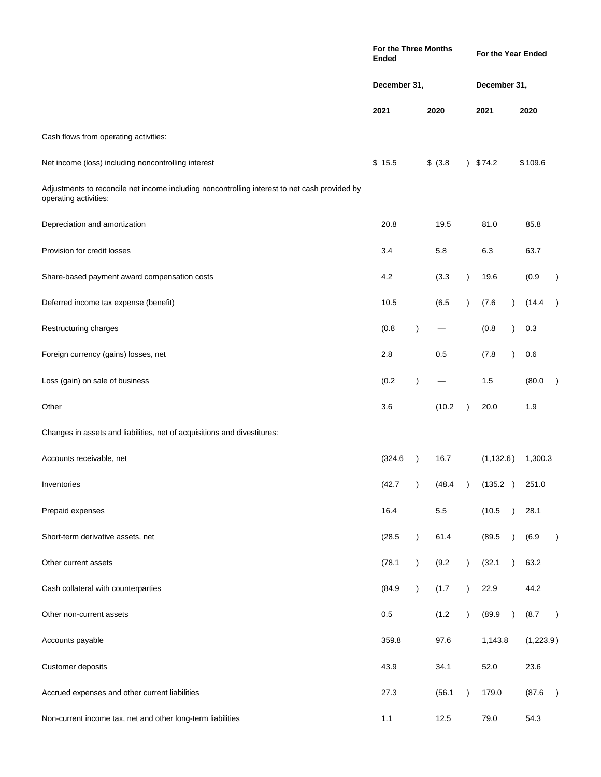|                                                                                                                        | For the Three Months<br>Ended |               |          |           | For the Year Ended |               |           |               |  |
|------------------------------------------------------------------------------------------------------------------------|-------------------------------|---------------|----------|-----------|--------------------|---------------|-----------|---------------|--|
|                                                                                                                        | December 31,                  |               |          |           | December 31,       |               |           |               |  |
|                                                                                                                        | 2021                          |               | 2020     |           | 2021               |               | 2020      |               |  |
| Cash flows from operating activities:                                                                                  |                               |               |          |           |                    |               |           |               |  |
| Net income (loss) including noncontrolling interest                                                                    | \$15.5                        |               | \$ (3.8) | $\lambda$ | \$74.2             |               | \$109.6   |               |  |
| Adjustments to reconcile net income including noncontrolling interest to net cash provided by<br>operating activities: |                               |               |          |           |                    |               |           |               |  |
| Depreciation and amortization                                                                                          | 20.8                          |               | 19.5     |           | 81.0               |               | 85.8      |               |  |
| Provision for credit losses                                                                                            | 3.4                           |               | 5.8      |           | 6.3                |               | 63.7      |               |  |
| Share-based payment award compensation costs                                                                           | 4.2                           |               | (3.3)    | $\lambda$ | 19.6               |               | (0.9)     |               |  |
| Deferred income tax expense (benefit)                                                                                  | 10.5                          |               | (6.5)    | $\lambda$ | (7.6)              |               | (14.4)    |               |  |
| Restructuring charges                                                                                                  | (0.8)                         | $\lambda$     |          |           | (0.8)              |               | 0.3       |               |  |
| Foreign currency (gains) losses, net                                                                                   | 2.8                           |               | 0.5      |           | (7.8)              | $\lambda$     | 0.6       |               |  |
| Loss (gain) on sale of business                                                                                        | (0.2)                         | $\lambda$     |          |           | 1.5                |               | (80.0)    |               |  |
| Other                                                                                                                  | 3.6                           |               | (10.2)   | $\lambda$ | 20.0               |               | 1.9       |               |  |
| Changes in assets and liabilities, net of acquisitions and divestitures:                                               |                               |               |          |           |                    |               |           |               |  |
| Accounts receivable, net                                                                                               | (324.6)                       | $\rightarrow$ | 16.7     |           | (1, 132.6)         |               | 1,300.3   |               |  |
| Inventories                                                                                                            | (42.7)                        |               | (48.4)   |           | (135.2)            | $\rightarrow$ | 251.0     |               |  |
| Prepaid expenses                                                                                                       | 16.4                          |               | $5.5\,$  |           | (10.5)             | $\lambda$     | 28.1      |               |  |
| Short-term derivative assets, net                                                                                      | (28.5)                        | $\lambda$     | 61.4     |           | (89.5)             |               | (6.9)     | $\lambda$     |  |
| Other current assets                                                                                                   | (78.1)                        | $\lambda$     | (9.2)    | $\lambda$ | (32.1)             |               | 63.2      |               |  |
| Cash collateral with counterparties                                                                                    | (84.9)                        | $\lambda$     | (1.7)    | $\lambda$ | 22.9               |               | 44.2      |               |  |
| Other non-current assets                                                                                               | 0.5                           |               | (1.2)    | $\lambda$ | (89.9)             | $\lambda$     | (8.7)     | $\lambda$     |  |
| Accounts payable                                                                                                       | 359.8                         |               | 97.6     |           | 1,143.8            |               | (1,223.9) |               |  |
| Customer deposits                                                                                                      | 43.9                          |               | 34.1     |           | 52.0               |               | 23.6      |               |  |
| Accrued expenses and other current liabilities                                                                         | 27.3                          |               | (56.1)   | $\lambda$ | 179.0              |               | (87.6)    | $\rightarrow$ |  |
| Non-current income tax, net and other long-term liabilities                                                            | 1.1                           |               | 12.5     |           | 79.0               |               | 54.3      |               |  |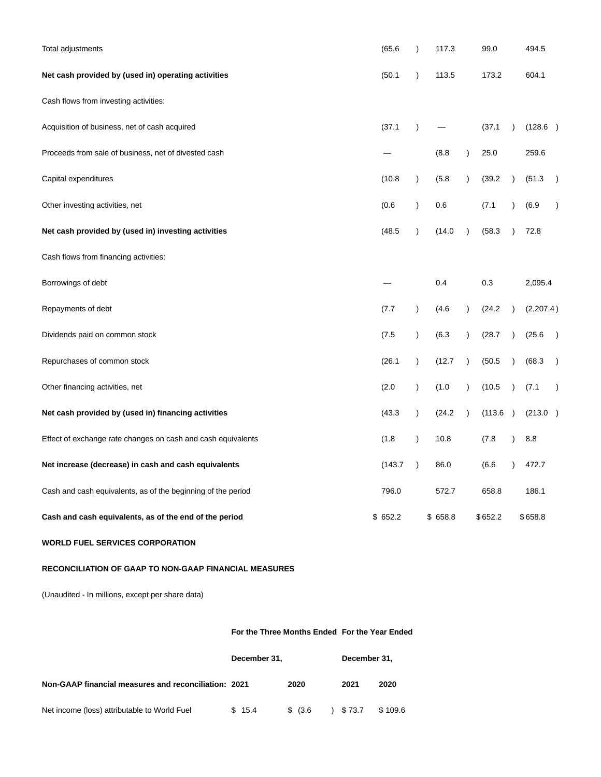| Total adjustments                                            | (65.6)  | $\lambda$     | 117.3   |           | 99.0    |           | 494.5     |               |
|--------------------------------------------------------------|---------|---------------|---------|-----------|---------|-----------|-----------|---------------|
| Net cash provided by (used in) operating activities          | (50.1)  | $\lambda$     | 113.5   |           | 173.2   |           | 604.1     |               |
| Cash flows from investing activities:                        |         |               |         |           |         |           |           |               |
| Acquisition of business, net of cash acquired                | (37.1)  | $\mathcal{E}$ |         |           | (37.1)  | $\lambda$ | (128.6)   |               |
| Proceeds from sale of business, net of divested cash         |         |               | (8.8)   | $\lambda$ | 25.0    |           | 259.6     |               |
| Capital expenditures                                         | (10.8)  | $\lambda$     | (5.8)   | $\lambda$ | (39.2)  | $\lambda$ | (51.3)    | $\lambda$     |
| Other investing activities, net                              | (0.6)   | $\lambda$     | 0.6     |           | (7.1)   |           | (6.9)     | $\lambda$     |
| Net cash provided by (used in) investing activities          | (48.5)  | $\lambda$     | (14.0)  | $\lambda$ | (58.3)  | $\lambda$ | 72.8      |               |
| Cash flows from financing activities:                        |         |               |         |           |         |           |           |               |
| Borrowings of debt                                           |         |               | 0.4     |           | 0.3     |           | 2,095.4   |               |
| Repayments of debt                                           | (7.7)   | $\lambda$     | (4.6)   | $\lambda$ | (24.2)  | $\lambda$ | (2,207.4) |               |
| Dividends paid on common stock                               | (7.5)   | $\lambda$     | (6.3)   | $\lambda$ | (28.7)  |           | (25.6)    | $\rightarrow$ |
| Repurchases of common stock                                  | (26.1)  | $\lambda$     | (12.7)  | $\lambda$ | (50.5)  |           | (68.3)    | $\lambda$     |
| Other financing activities, net                              | (2.0)   | $\lambda$     | (1.0)   | $\lambda$ | (10.5)  | $\lambda$ | (7.1)     | $\lambda$     |
| Net cash provided by (used in) financing activities          | (43.3)  | $\lambda$     | (24.2)  | $\lambda$ | (113.6) | $\lambda$ | (213.0)   |               |
| Effect of exchange rate changes on cash and cash equivalents | (1.8)   | $\lambda$     | 10.8    |           | (7.8)   |           | 8.8       |               |
| Net increase (decrease) in cash and cash equivalents         | (143.7) | $\lambda$     | 86.0    |           | (6.6)   |           | 472.7     |               |
| Cash and cash equivalents, as of the beginning of the period | 796.0   |               | 572.7   |           | 658.8   |           | 186.1     |               |
| Cash and cash equivalents, as of the end of the period       | \$652.2 |               | \$658.8 |           | \$652.2 |           | \$658.8   |               |

**WORLD FUEL SERVICES CORPORATION**

## **RECONCILIATION OF GAAP TO NON-GAAP FINANCIAL MEASURES**

(Unaudited - In millions, except per share data)

## **For the Three Months Ended For the Year Ended**

|                                                      | December 31. |             | December 31. |         |
|------------------------------------------------------|--------------|-------------|--------------|---------|
| Non-GAAP financial measures and reconciliation: 2021 |              | 2020        | 2021         | 2020    |
| Net income (loss) attributable to World Fuel         | \$15.4       | $$^{(3.6)}$ | \$73.7       | \$109.6 |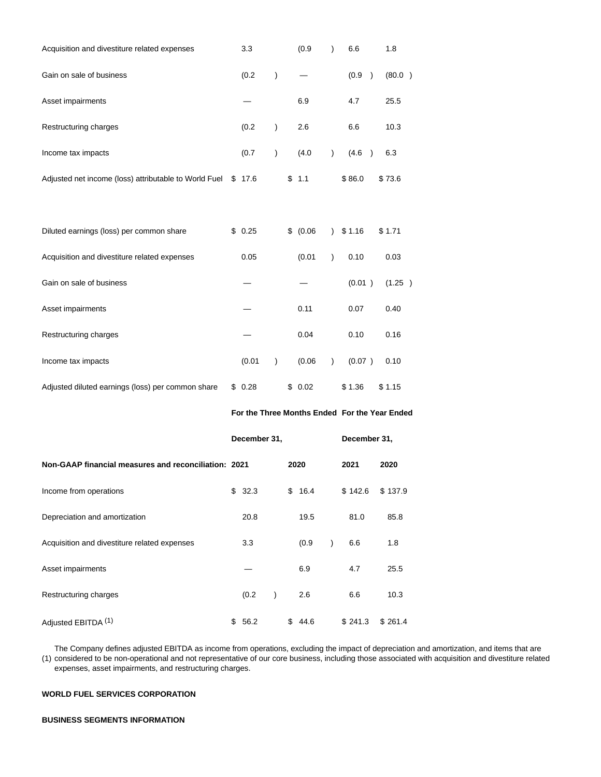| Acquisition and divestiture related expenses          | 3.3          |                        | (0.9)                                         | $\mathcal{E}$ | 6.6          |               | 1.8     |  |
|-------------------------------------------------------|--------------|------------------------|-----------------------------------------------|---------------|--------------|---------------|---------|--|
| Gain on sale of business                              | (0.2)        | $\mathcal{C}^{\prime}$ |                                               |               | (0.9)        | $\mathcal{E}$ | (80.0)  |  |
| Asset impairments                                     |              |                        | 6.9                                           |               | 4.7          |               | 25.5    |  |
| Restructuring charges                                 | (0.2)        | $\mathcal{E}$          | 2.6                                           |               | 6.6          |               | 10.3    |  |
| Income tax impacts                                    | (0.7)        | $\mathcal{E}$          | (4.0)                                         | $\mathcal{E}$ | (4.6)        | $\rightarrow$ | 6.3     |  |
| Adjusted net income (loss) attributable to World Fuel | \$17.6       |                        | \$<br>1.1                                     |               | \$86.0       |               | \$73.6  |  |
| Diluted earnings (loss) per common share              | \$0.25       |                        | \$<br>(0.06)                                  | $\lambda$     | \$1.16       |               | \$1.71  |  |
| Acquisition and divestiture related expenses          | 0.05         |                        | (0.01)                                        | $\lambda$     | 0.10         |               | 0.03    |  |
| Gain on sale of business                              |              |                        |                                               |               | (0.01)       |               | (1.25)  |  |
| Asset impairments                                     |              |                        | 0.11                                          |               | 0.07         |               | 0.40    |  |
| Restructuring charges                                 |              |                        | 0.04                                          |               | 0.10         |               | 0.16    |  |
| Income tax impacts                                    | (0.01)       | $\mathcal{C}$          | (0.06)                                        | $\lambda$     | (0.07)       |               | 0.10    |  |
| Adjusted diluted earnings (loss) per common share     | \$0.28       |                        | \$0.02                                        |               | \$1.36       |               | \$ 1.15 |  |
|                                                       |              |                        | For the Three Months Ended For the Year Ended |               |              |               |         |  |
|                                                       | December 31, |                        |                                               |               | December 31, |               |         |  |
| Non-GAAP financial measures and reconciliation: 2021  |              |                        | 2020                                          |               | 2021         |               | 2020    |  |
| Income from operations                                | \$<br>32.3   |                        | \$<br>16.4                                    |               | \$142.6      |               | \$137.9 |  |
| Depreciation and amortization                         | 20.8         |                        | 19.5                                          |               | 81.0         |               | 85.8    |  |
| Acquisition and divestiture related expenses          | 3.3          |                        | (0.9)                                         | $\mathcal{E}$ | 6.6          |               | 1.8     |  |
| Asset impairments                                     |              |                        | 6.9                                           |               | 4.7          |               | 25.5    |  |
| Restructuring charges                                 | (0.2)        | $\mathcal{C}$          | 2.6                                           |               | 6.6          |               | 10.3    |  |

Adjusted EBITDA <sup>(1)</sup>  $$56.2$   $$44.6$   $$241.3$   $$261.4$ 

(1) considered to be non-operational and not representative of our core business, including those associated with acquisition and divestiture related The Company defines adjusted EBITDA as income from operations, excluding the impact of depreciation and amortization, and items that are expenses, asset impairments, and restructuring charges.

## **WORLD FUEL SERVICES CORPORATION**

#### **BUSINESS SEGMENTS INFORMATION**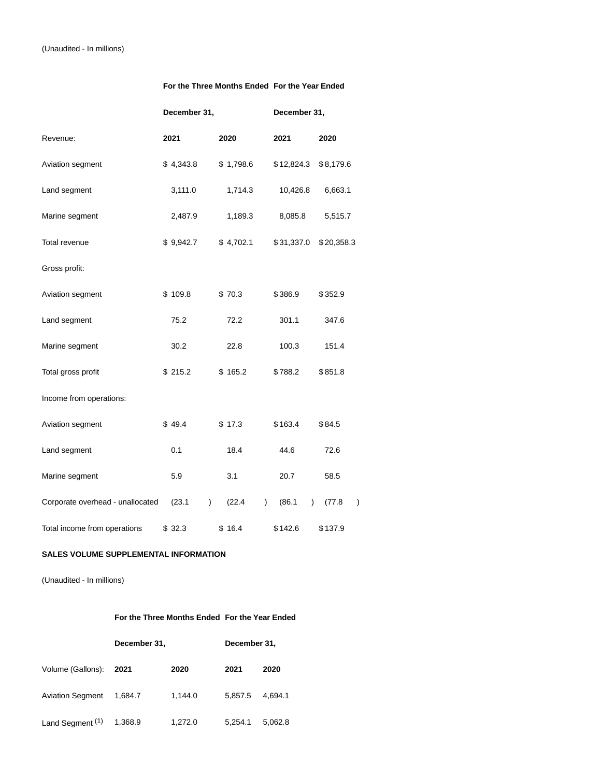## **For the Three Months Ended For the Year Ended**

|                                  | December 31, |           |         |  | December 31, |               |            |           |            |   |
|----------------------------------|--------------|-----------|---------|--|--------------|---------------|------------|-----------|------------|---|
| Revenue:                         |              | 2021      |         |  | 2020         |               | 2021       |           | 2020       |   |
| Aviation segment                 |              | \$4,343.8 |         |  | \$1,798.6    |               | \$12,824.3 |           | \$8,179.6  |   |
| Land segment                     |              | 3,111.0   |         |  | 1,714.3      |               | 10,426.8   |           | 6,663.1    |   |
| Marine segment                   |              | 2,487.9   |         |  | 1,189.3      |               | 8,085.8    |           | 5,515.7    |   |
| Total revenue                    |              | \$9,942.7 |         |  | \$4,702.1    |               | \$31,337.0 |           | \$20,358.3 |   |
| Gross profit:                    |              |           |         |  |              |               |            |           |            |   |
| Aviation segment                 |              | \$109.8   |         |  | \$70.3       |               | \$386.9    |           | \$352.9    |   |
| Land segment                     |              | 75.2      |         |  | 72.2         |               | 301.1      |           | 347.6      |   |
| Marine segment                   |              | 30.2      |         |  | 22.8         |               | 100.3      |           | 151.4      |   |
| Total gross profit               |              | \$215.2   |         |  | \$165.2      |               | \$788.2    |           | \$851.8    |   |
| Income from operations:          |              |           |         |  |              |               |            |           |            |   |
| Aviation segment                 |              | \$49.4    |         |  | \$17.3       |               | \$163.4    |           | \$84.5     |   |
| Land segment                     |              | 0.1       |         |  | 18.4         |               | 44.6       |           | 72.6       |   |
| Marine segment                   |              | 5.9       |         |  | 3.1          |               | 20.7       |           | 58.5       |   |
| Corporate overhead - unallocated |              | (23.1)    | $\big)$ |  | (22.4)       | $\mathcal{L}$ | (86.1)     | $\lambda$ | (77.8)     | ) |
| Total income from operations     |              | \$32.3    |         |  | \$16.4       |               | \$142.6    |           | \$137.9    |   |

## **SALES VOLUME SUPPLEMENTAL INFORMATION**

(Unaudited - In millions)

## **For the Three Months Ended For the Year Ended**

|                             | December 31, | December 31, |         |         |  |
|-----------------------------|--------------|--------------|---------|---------|--|
| Volume (Gallons):           | 2021         | 2020         | 2021    | 2020    |  |
| <b>Aviation Segment</b>     | 1.684.7      | 1.144.0      | 5.857.5 | 4.694.1 |  |
| Land Segment <sup>(1)</sup> | 1,368.9      | 1.272.0      | 5.254.1 | 5.062.8 |  |